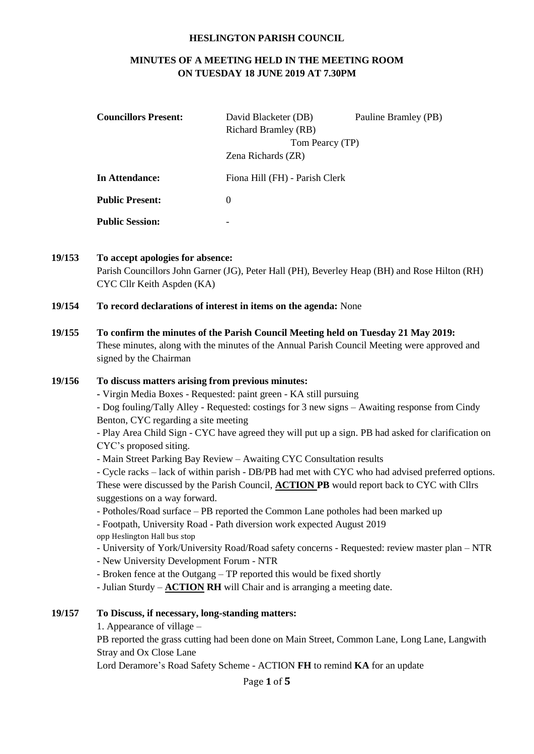#### **HESLINGTON PARISH COUNCIL**

# **MINUTES OF A MEETING HELD IN THE MEETING ROOM ON TUESDAY 18 JUNE 2019 AT 7.30PM**

| <b>Councillors Present:</b> | David Blacketer (DB)           | Pauline Bramley (PB) |  |
|-----------------------------|--------------------------------|----------------------|--|
|                             | <b>Richard Bramley (RB)</b>    |                      |  |
|                             | Tom Pearcy (TP)                |                      |  |
|                             | Zena Richards (ZR)             |                      |  |
| In Attendance:              | Fiona Hill (FH) - Parish Clerk |                      |  |
| <b>Public Present:</b>      | $\theta$                       |                      |  |
| <b>Public Session:</b>      | -                              |                      |  |

**19/153 To accept apologies for absence:**

Parish Councillors John Garner (JG), Peter Hall (PH), Beverley Heap (BH) and Rose Hilton (RH) CYC Cllr Keith Aspden (KA)

- **19/154 To record declarations of interest in items on the agenda:** None
- **19/155 To confirm the minutes of the Parish Council Meeting held on Tuesday 21 May 2019:** These minutes, along with the minutes of the Annual Parish Council Meeting were approved and signed by the Chairman

## **19/156 To discuss matters arising from previous minutes:**

**-** Virgin Media Boxes - Requested: paint green - KA still pursuing

- Dog fouling/Tally Alley - Requested: costings for 3 new signs – Awaiting response from Cindy Benton, CYC regarding a site meeting

- Play Area Child Sign - CYC have agreed they will put up a sign. PB had asked for clarification on CYC's proposed siting.

- Main Street Parking Bay Review – Awaiting CYC Consultation results

- Cycle racks – lack of within parish - DB/PB had met with CYC who had advised preferred options. These were discussed by the Parish Council, **ACTION PB** would report back to CYC with Cllrs suggestions on a way forward.

- Potholes/Road surface – PB reported the Common Lane potholes had been marked up

- Footpath, University Road - Path diversion work expected August 2019 opp Heslington Hall bus stop

- University of York/University Road/Road safety concerns Requested: review master plan NTR
- New University Development Forum NTR
- Broken fence at the Outgang TP reported this would be fixed shortly

- Julian Sturdy – **ACTION RH** will Chair and is arranging a meeting date.

## **19/157 To Discuss, if necessary, long-standing matters:**

1. Appearance of village –

PB reported the grass cutting had been done on Main Street, Common Lane, Long Lane, Langwith Stray and Ox Close Lane

Lord Deramore's Road Safety Scheme - ACTION **FH** to remind **KA** for an update

Page **1** of **5**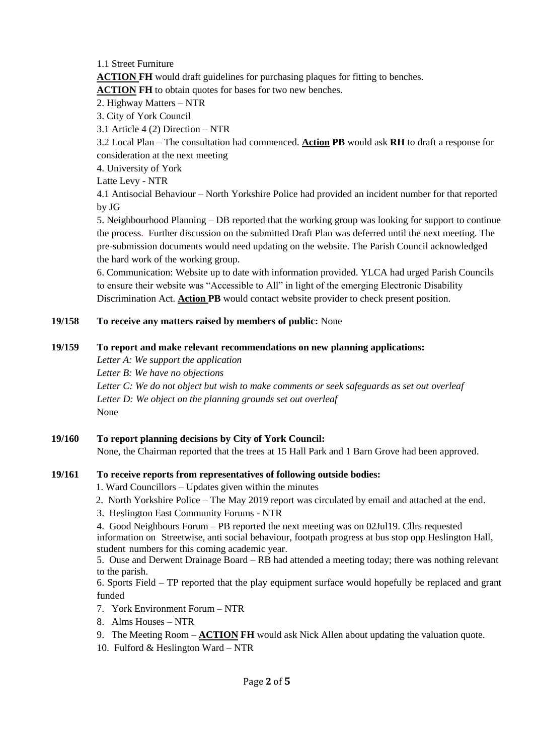1.1 Street Furniture

**ACTION FH** would draft guidelines for purchasing plaques for fitting to benches.

**ACTION FH** to obtain quotes for bases for two new benches.

2. Highway Matters – NTR

3. City of York Council

3.1 Article 4 (2) Direction – NTR

3.2 Local Plan – The consultation had commenced. **Action PB** would ask **RH** to draft a response for consideration at the next meeting

4. University of York

Latte Levy - NTR

4.1 Antisocial Behaviour – North Yorkshire Police had provided an incident number for that reported by JG

5. Neighbourhood Planning – DB reported that the working group was looking for support to continue the process. Further discussion on the submitted Draft Plan was deferred until the next meeting. The pre-submission documents would need updating on the website. The Parish Council acknowledged the hard work of the working group.

6. Communication: Website up to date with information provided. YLCA had urged Parish Councils to ensure their website was "Accessible to All" in light of the emerging Electronic Disability Discrimination Act. **Action PB** would contact website provider to check present position.

# **19/158 To receive any matters raised by members of public:** None

# **19/159 To report and make relevant recommendations on new planning applications:**

*Letter A: We support the application Letter B: We have no objections Letter C: We do not object but wish to make comments or seek safeguards as set out overleaf Letter D: We object on the planning grounds set out overleaf* None

**19/160 To report planning decisions by City of York Council:**  None, the Chairman reported that the trees at 15 Hall Park and 1 Barn Grove had been approved.

# **19/161 To receive reports from representatives of following outside bodies:**

- 1. Ward Councillors Updates given within the minutes
- 2. North Yorkshire Police The May 2019 report was circulated by email and attached at the end.
- 3. Heslington East Community Forums NTR

4. Good Neighbours Forum – PB reported the next meeting was on 02Jul19. Cllrs requested information on Streetwise, anti social behaviour, footpath progress at bus stop opp Heslington Hall, student numbers for this coming academic year.

5. Ouse and Derwent Drainage Board – RB had attended a meeting today; there was nothing relevant to the parish.

6. Sports Field – TP reported that the play equipment surface would hopefully be replaced and grant funded

- 7. York Environment Forum NTR
- 8. Alms Houses NTR
- 9. The Meeting Room **ACTION FH** would ask Nick Allen about updating the valuation quote.
- 10. Fulford  $&$  Heslington Ward NTR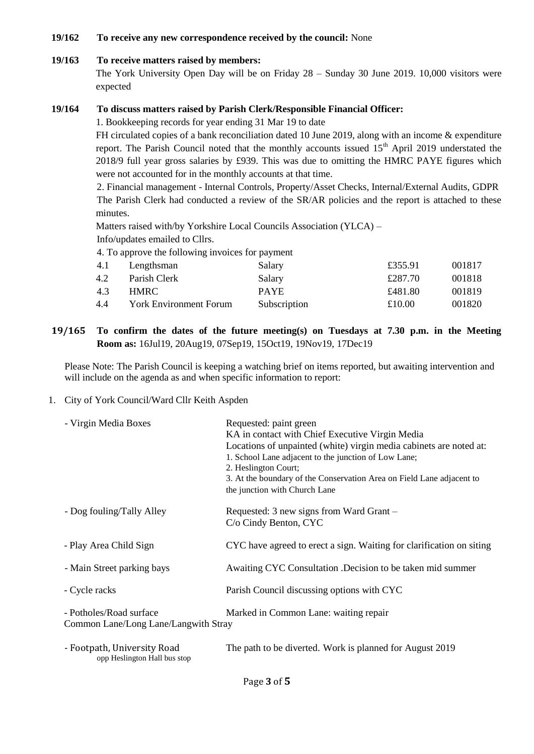## **19/162 To receive any new correspondence received by the council:** None

## **19/163 To receive matters raised by members:**

The York University Open Day will be on Friday 28 – Sunday 30 June 2019. 10,000 visitors were expected

## **19/164 To discuss matters raised by Parish Clerk/Responsible Financial Officer:**

1. Bookkeeping records for year ending 31 Mar 19 to date

FH circulated copies of a bank reconciliation dated 10 June 2019, along with an income & expenditure report. The Parish Council noted that the monthly accounts issued  $15<sup>th</sup>$  April 2019 understated the 2018/9 full year gross salaries by £939. This was due to omitting the HMRC PAYE figures which were not accounted for in the monthly accounts at that time.

2. Financial management - Internal Controls, Property/Asset Checks, Internal/External Audits, GDPR The Parish Clerk had conducted a review of the SR/AR policies and the report is attached to these minutes.

Matters raised with/by Yorkshire Local Councils Association (YLCA) –

Info/updates emailed to Cllrs.

4. To approve the following invoices for payment

| 4.1 | Lengthsman                    | Salary       | £355.91 | 001817 |
|-----|-------------------------------|--------------|---------|--------|
| 4.2 | Parish Clerk                  | Salary       | £287.70 | 001818 |
| 4.3 | HMRC -                        | <b>PAYE</b>  | £481.80 | 001819 |
| 4.4 | <b>York Environment Forum</b> | Subscription | £10.00  | 001820 |

**19/165 To confirm the dates of the future meeting(s) on Tuesdays at 7.30 p.m. in the Meeting Room as:** 16Jul19, 20Aug19, 07Sep19, 15Oct19, 19Nov19, 17Dec19

Please Note: The Parish Council is keeping a watching brief on items reported, but awaiting intervention and will include on the agenda as and when specific information to report:

## 1. City of York Council/Ward Cllr Keith Aspden

opp Heslington Hall bus stop

| - Virgin Media Boxes                                            | Requested: paint green<br>KA in contact with Chief Executive Virgin Media<br>Locations of unpainted (white) virgin media cabinets are noted at:<br>1. School Lane adjacent to the junction of Low Lane;<br>2. Heslington Court;<br>3. At the boundary of the Conservation Area on Field Lane adjacent to<br>the junction with Church Lane |
|-----------------------------------------------------------------|-------------------------------------------------------------------------------------------------------------------------------------------------------------------------------------------------------------------------------------------------------------------------------------------------------------------------------------------|
| - Dog fouling/Tally Alley                                       | Requested: 3 new signs from Ward Grant –<br>C/o Cindy Benton, CYC                                                                                                                                                                                                                                                                         |
| - Play Area Child Sign                                          | CYC have agreed to erect a sign. Waiting for clarification on siting                                                                                                                                                                                                                                                                      |
| - Main Street parking bays                                      | Awaiting CYC Consultation .Decision to be taken mid summer                                                                                                                                                                                                                                                                                |
| - Cycle racks                                                   | Parish Council discussing options with CYC                                                                                                                                                                                                                                                                                                |
| - Potholes/Road surface<br>Common Lane/Long Lane/Langwith Stray | Marked in Common Lane: waiting repair                                                                                                                                                                                                                                                                                                     |
| - Footpath, University Road                                     | The path to be diverted. Work is planned for August 2019                                                                                                                                                                                                                                                                                  |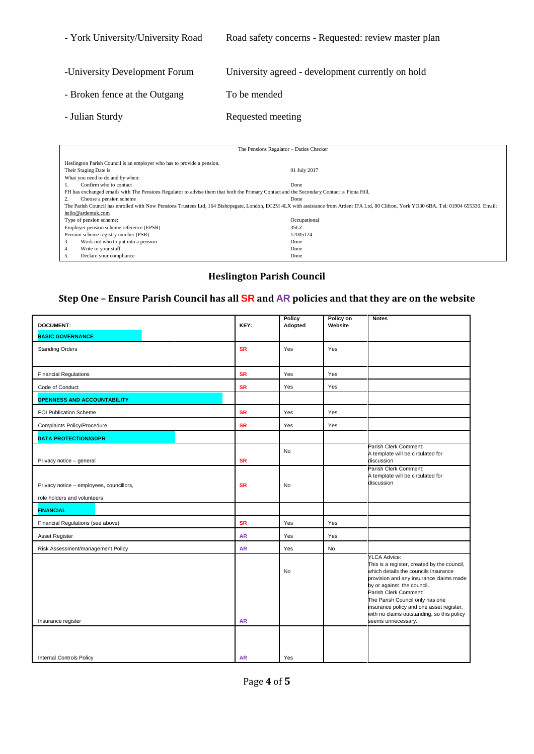| - York University/University Road | Road safety concerns - Requested: review master plan |
|-----------------------------------|------------------------------------------------------|
| -University Development Forum     | University agreed - development currently on hold    |
| - Broken fence at the Outgang     | To be mended                                         |
| - Julian Sturdy                   | Requested meeting                                    |

| The Pensions Regulator - Duties Checker                                                                                                   |                                                                                                                                                                                             |  |  |  |
|-------------------------------------------------------------------------------------------------------------------------------------------|---------------------------------------------------------------------------------------------------------------------------------------------------------------------------------------------|--|--|--|
|                                                                                                                                           |                                                                                                                                                                                             |  |  |  |
| Heslington Parish Council is an employer who has to provide a pension.                                                                    |                                                                                                                                                                                             |  |  |  |
| Their Staging Date is                                                                                                                     | 01 July 2017                                                                                                                                                                                |  |  |  |
| What you need to do and by when:                                                                                                          |                                                                                                                                                                                             |  |  |  |
| Confirm who to contact                                                                                                                    | Done                                                                                                                                                                                        |  |  |  |
| FH has exchanged emails with The Pensions Regulator to advise them that both the Primary Contact and the Secondary Contact is Fiona Hill. |                                                                                                                                                                                             |  |  |  |
| Choose a pension scheme                                                                                                                   | Done                                                                                                                                                                                        |  |  |  |
|                                                                                                                                           | The Parish Council has enrolled with Now Pensions Trustees Ltd, 164 Bishopsgate, London, EC2M 4LX with assistance from Ardent IFA Ltd, 80 Clifton, York YO30 6BA. Tel: 01904 655330. Email: |  |  |  |
| hello@ardentuk.com                                                                                                                        |                                                                                                                                                                                             |  |  |  |
| Type of pension scheme:                                                                                                                   | Occupational                                                                                                                                                                                |  |  |  |
| Employer pension scheme reference (EPSR)                                                                                                  | 35LZ                                                                                                                                                                                        |  |  |  |
| Pension scheme registry number (PSR)                                                                                                      | 12005124                                                                                                                                                                                    |  |  |  |
| 3.<br>Work out who to put into a pension                                                                                                  | Done                                                                                                                                                                                        |  |  |  |
| Write to your staff<br>4.                                                                                                                 | Done                                                                                                                                                                                        |  |  |  |
| Declare your compliance<br>5.                                                                                                             | Done                                                                                                                                                                                        |  |  |  |

# **Heslington Parish Council**

# **Step One – Ensure Parish Council has all SR and AR policies and that they are on the website**

| <b>DOCUMENT:</b>                                                        | KEY:      | Policy<br>Adopted | Policy on<br>Website | <b>Notes</b>                                                                                                                                                                                                                                                                                                                                                    |
|-------------------------------------------------------------------------|-----------|-------------------|----------------------|-----------------------------------------------------------------------------------------------------------------------------------------------------------------------------------------------------------------------------------------------------------------------------------------------------------------------------------------------------------------|
| <b>BASIC GOVERNANCE</b>                                                 |           |                   |                      |                                                                                                                                                                                                                                                                                                                                                                 |
| <b>Standing Orders</b>                                                  | <b>SR</b> | Yes               | Yes                  |                                                                                                                                                                                                                                                                                                                                                                 |
| <b>Financial Regulations</b>                                            | <b>SR</b> | Yes               | Yes                  |                                                                                                                                                                                                                                                                                                                                                                 |
| Code of Conduct                                                         | <b>SR</b> | Yes               | Yes                  |                                                                                                                                                                                                                                                                                                                                                                 |
| <b>OPENNESS AND ACCOUNTABILITY</b>                                      |           |                   |                      |                                                                                                                                                                                                                                                                                                                                                                 |
| FOI Publication Scheme                                                  | <b>SR</b> | Yes               | Yes                  |                                                                                                                                                                                                                                                                                                                                                                 |
| Complaints Policy/Procedure                                             | <b>SR</b> | Yes               | Yes                  |                                                                                                                                                                                                                                                                                                                                                                 |
| <b>DATA PROTECTION/GDPR</b>                                             |           |                   |                      |                                                                                                                                                                                                                                                                                                                                                                 |
| Privacy notice - general                                                | <b>SR</b> | <b>No</b>         |                      | Parish Clerk Comment:<br>A template will be circulated for<br>discussion                                                                                                                                                                                                                                                                                        |
| Privacy notice - employees, councillors,<br>role holders and volunteers | <b>SR</b> | No                |                      | Parish Clerk Comment:<br>A template will be circulated for<br>discussion                                                                                                                                                                                                                                                                                        |
| <b>FINANCIAL</b>                                                        |           |                   |                      |                                                                                                                                                                                                                                                                                                                                                                 |
| Financial Regulations (see above)                                       | <b>SR</b> | Yes               | Yes                  |                                                                                                                                                                                                                                                                                                                                                                 |
| Asset Register                                                          | <b>AR</b> | Yes               | Yes                  |                                                                                                                                                                                                                                                                                                                                                                 |
| Risk Assessment/management Policy                                       | <b>AR</b> | Yes               | <b>No</b>            |                                                                                                                                                                                                                                                                                                                                                                 |
| Insurance register                                                      | <b>AR</b> | No                |                      | <b>YLCA Advice:</b><br>This is a register, created by the council,<br>which details the councils insurance<br>provision and any insurance claims made<br>by or against the council.<br>Parish Clerk Comment:<br>The Parish Council only has one<br>insurance policy and one asset register,<br>with no claims outstanding, so this policy<br>seems unnecessary. |
| <b>Internal Controls Policy</b>                                         | <b>AR</b> | Yes               |                      |                                                                                                                                                                                                                                                                                                                                                                 |
|                                                                         |           |                   |                      |                                                                                                                                                                                                                                                                                                                                                                 |